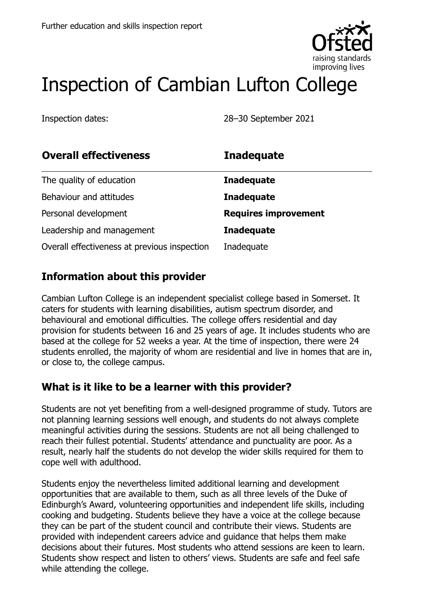

# Inspection of Cambian Lufton College

Inspection dates: 28–30 September 2021

| <b>Overall effectiveness</b>                 | <b>Inadequate</b>           |
|----------------------------------------------|-----------------------------|
| The quality of education                     | <b>Inadequate</b>           |
| Behaviour and attitudes                      | <b>Inadequate</b>           |
| Personal development                         | <b>Requires improvement</b> |
| Leadership and management                    | <b>Inadequate</b>           |
| Overall effectiveness at previous inspection | Inadequate                  |

# **Information about this provider**

Cambian Lufton College is an independent specialist college based in Somerset. It caters for students with learning disabilities, autism spectrum disorder, and behavioural and emotional difficulties. The college offers residential and day provision for students between 16 and 25 years of age. It includes students who are based at the college for 52 weeks a year. At the time of inspection, there were 24 students enrolled, the majority of whom are residential and live in homes that are in, or close to, the college campus.

#### **What is it like to be a learner with this provider?**

Students are not yet benefiting from a well-designed programme of study. Tutors are not planning learning sessions well enough, and students do not always complete meaningful activities during the sessions. Students are not all being challenged to reach their fullest potential. Students' attendance and punctuality are poor. As a result, nearly half the students do not develop the wider skills required for them to cope well with adulthood.

Students enjoy the nevertheless limited additional learning and development opportunities that are available to them, such as all three levels of the Duke of Edinburgh's Award, volunteering opportunities and independent life skills, including cooking and budgeting. Students believe they have a voice at the college because they can be part of the student council and contribute their views. Students are provided with independent careers advice and guidance that helps them make decisions about their futures. Most students who attend sessions are keen to learn. Students show respect and listen to others' views. Students are safe and feel safe while attending the college.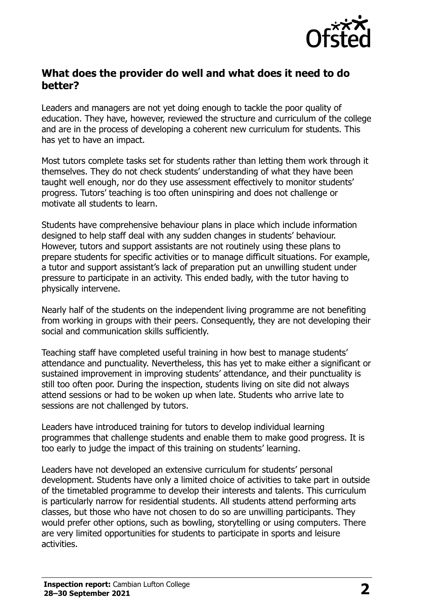

#### **What does the provider do well and what does it need to do better?**

Leaders and managers are not yet doing enough to tackle the poor quality of education. They have, however, reviewed the structure and curriculum of the college and are in the process of developing a coherent new curriculum for students. This has yet to have an impact.

Most tutors complete tasks set for students rather than letting them work through it themselves. They do not check students' understanding of what they have been taught well enough, nor do they use assessment effectively to monitor students' progress. Tutors' teaching is too often uninspiring and does not challenge or motivate all students to learn.

Students have comprehensive behaviour plans in place which include information designed to help staff deal with any sudden changes in students' behaviour. However, tutors and support assistants are not routinely using these plans to prepare students for specific activities or to manage difficult situations. For example, a tutor and support assistant's lack of preparation put an unwilling student under pressure to participate in an activity. This ended badly, with the tutor having to physically intervene.

Nearly half of the students on the independent living programme are not benefiting from working in groups with their peers. Consequently, they are not developing their social and communication skills sufficiently.

Teaching staff have completed useful training in how best to manage students' attendance and punctuality. Nevertheless, this has yet to make either a significant or sustained improvement in improving students' attendance, and their punctuality is still too often poor. During the inspection, students living on site did not always attend sessions or had to be woken up when late. Students who arrive late to sessions are not challenged by tutors.

Leaders have introduced training for tutors to develop individual learning programmes that challenge students and enable them to make good progress. It is too early to judge the impact of this training on students' learning.

Leaders have not developed an extensive curriculum for students' personal development. Students have only a limited choice of activities to take part in outside of the timetabled programme to develop their interests and talents. This curriculum is particularly narrow for residential students. All students attend performing arts classes, but those who have not chosen to do so are unwilling participants. They would prefer other options, such as bowling, storytelling or using computers. There are very limited opportunities for students to participate in sports and leisure activities.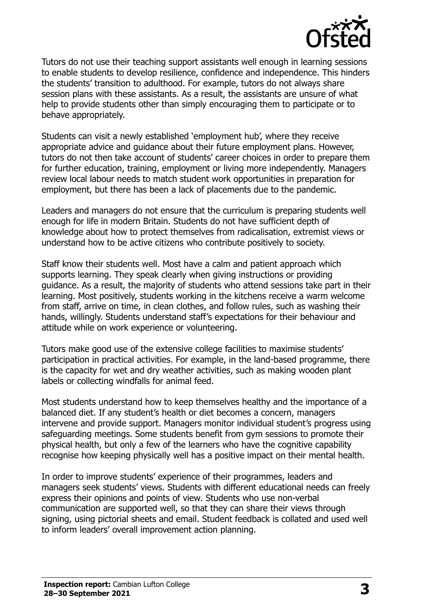

Tutors do not use their teaching support assistants well enough in learning sessions to enable students to develop resilience, confidence and independence. This hinders the students' transition to adulthood. For example, tutors do not always share session plans with these assistants. As a result, the assistants are unsure of what help to provide students other than simply encouraging them to participate or to behave appropriately.

Students can visit a newly established 'employment hub', where they receive appropriate advice and guidance about their future employment plans. However, tutors do not then take account of students' career choices in order to prepare them for further education, training, employment or living more independently. Managers review local labour needs to match student work opportunities in preparation for employment, but there has been a lack of placements due to the pandemic.

Leaders and managers do not ensure that the curriculum is preparing students well enough for life in modern Britain. Students do not have sufficient depth of knowledge about how to protect themselves from radicalisation, extremist views or understand how to be active citizens who contribute positively to society.

Staff know their students well. Most have a calm and patient approach which supports learning. They speak clearly when giving instructions or providing guidance. As a result, the majority of students who attend sessions take part in their learning. Most positively, students working in the kitchens receive a warm welcome from staff, arrive on time, in clean clothes, and follow rules, such as washing their hands, willingly. Students understand staff's expectations for their behaviour and attitude while on work experience or volunteering.

Tutors make good use of the extensive college facilities to maximise students' participation in practical activities. For example, in the land-based programme, there is the capacity for wet and dry weather activities, such as making wooden plant labels or collecting windfalls for animal feed.

Most students understand how to keep themselves healthy and the importance of a balanced diet. If any student's health or diet becomes a concern, managers intervene and provide support. Managers monitor individual student's progress using safeguarding meetings. Some students benefit from gym sessions to promote their physical health, but only a few of the learners who have the cognitive capability recognise how keeping physically well has a positive impact on their mental health.

In order to improve students' experience of their programmes, leaders and managers seek students' views. Students with different educational needs can freely express their opinions and points of view. Students who use non-verbal communication are supported well, so that they can share their views through signing, using pictorial sheets and email. Student feedback is collated and used well to inform leaders' overall improvement action planning.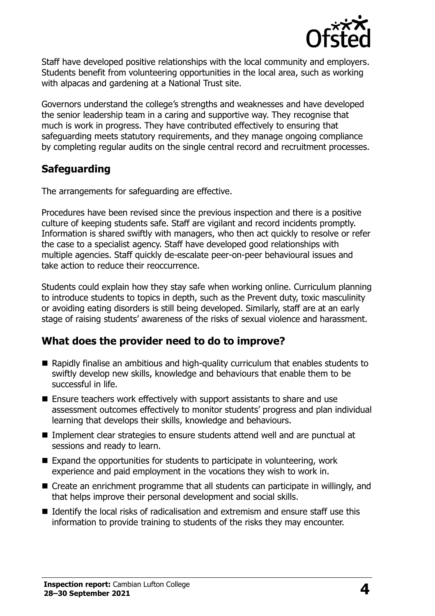

Staff have developed positive relationships with the local community and employers. Students benefit from volunteering opportunities in the local area, such as working with alpacas and gardening at a National Trust site.

Governors understand the college's strengths and weaknesses and have developed the senior leadership team in a caring and supportive way. They recognise that much is work in progress. They have contributed effectively to ensuring that safeguarding meets statutory requirements, and they manage ongoing compliance by completing regular audits on the single central record and recruitment processes.

# **Safeguarding**

The arrangements for safeguarding are effective.

Procedures have been revised since the previous inspection and there is a positive culture of keeping students safe. Staff are vigilant and record incidents promptly. Information is shared swiftly with managers, who then act quickly to resolve or refer the case to a specialist agency. Staff have developed good relationships with multiple agencies. Staff quickly de-escalate peer-on-peer behavioural issues and take action to reduce their reoccurrence.

Students could explain how they stay safe when working online. Curriculum planning to introduce students to topics in depth, such as the Prevent duty, toxic masculinity or avoiding eating disorders is still being developed. Similarly, staff are at an early stage of raising students' awareness of the risks of sexual violence and harassment.

# **What does the provider need to do to improve?**

- Rapidly finalise an ambitious and high-quality curriculum that enables students to swiftly develop new skills, knowledge and behaviours that enable them to be successful in life.
- $\blacksquare$  Ensure teachers work effectively with support assistants to share and use assessment outcomes effectively to monitor students' progress and plan individual learning that develops their skills, knowledge and behaviours.
- Implement clear strategies to ensure students attend well and are punctual at sessions and ready to learn.
- Expand the opportunities for students to participate in volunteering, work experience and paid employment in the vocations they wish to work in.
- Create an enrichment programme that all students can participate in willingly, and that helps improve their personal development and social skills.
- I Identify the local risks of radicalisation and extremism and ensure staff use this information to provide training to students of the risks they may encounter.

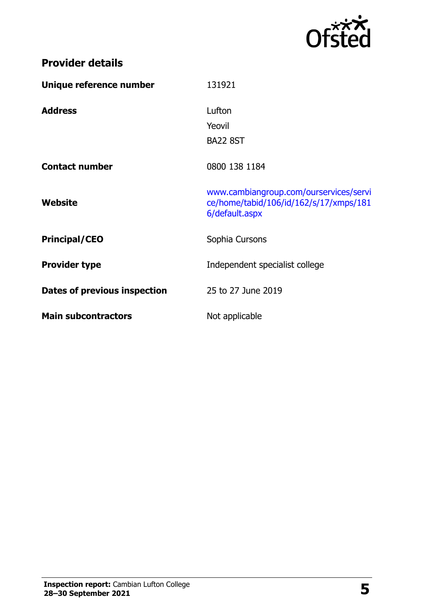

|  |  | <b>Provider details</b> |  |
|--|--|-------------------------|--|
|  |  |                         |  |

| Unique reference number      | 131921                                                                                             |
|------------------------------|----------------------------------------------------------------------------------------------------|
| <b>Address</b>               | Lufton                                                                                             |
|                              | Yeovil                                                                                             |
|                              | <b>BA22 8ST</b>                                                                                    |
| <b>Contact number</b>        | 0800 138 1184                                                                                      |
| Website                      | www.cambiangroup.com/ourservices/servi<br>ce/home/tabid/106/id/162/s/17/xmps/181<br>6/default.aspx |
| <b>Principal/CEO</b>         | Sophia Cursons                                                                                     |
| <b>Provider type</b>         | Independent specialist college                                                                     |
| Dates of previous inspection | 25 to 27 June 2019                                                                                 |
| <b>Main subcontractors</b>   | Not applicable                                                                                     |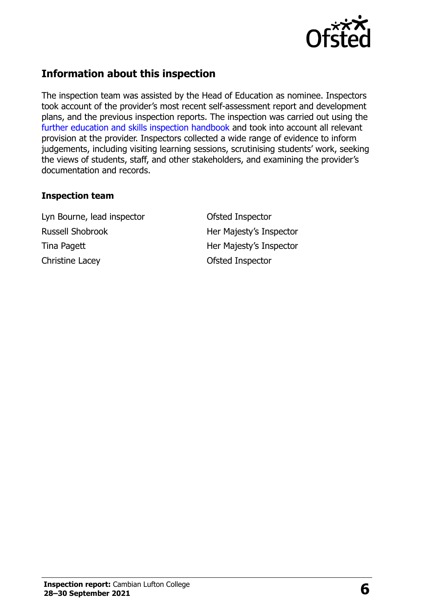

# **Information about this inspection**

The inspection team was assisted by the Head of Education as nominee. Inspectors took account of the provider's most recent self-assessment report and development plans, and the previous inspection reports. The inspection was carried out using the [further education and skills inspection handbook](http://www.gov.uk/government/publications/further-education-and-skills-inspection-handbook-eif) and took into account all relevant provision at the provider. Inspectors collected a wide range of evidence to inform judgements, including visiting learning sessions, scrutinising students' work, seeking the views of students, staff, and other stakeholders, and examining the provider's documentation and records.

#### **Inspection team**

Lyn Bourne, lead inspector Ofsted Inspector Russell Shobrook Her Majesty's Inspector Tina Pagett **Her Majesty's Inspector** Christine Lacey **Ofsted Inspector**